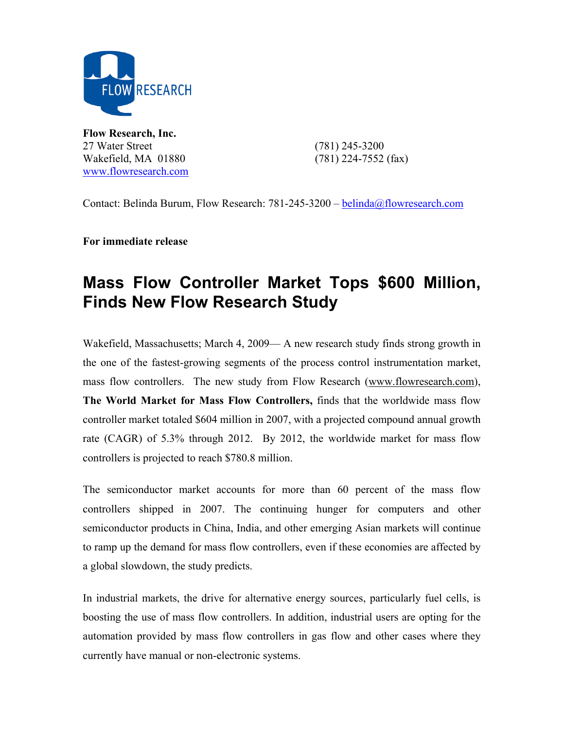

**Flow Research, Inc.**  27 Water Street (781) 245-3200 Wakefield, MA 01880 (781) 224-7552 (fax) www.flowresearch.com

Contact: Belinda Burum, Flow Research: 781-245-3200 – belinda@flowresearch.com

**For immediate release** 

## **Mass Flow Controller Market Tops \$600 Million, Finds New Flow Research Study**

Wakefield, Massachusetts; March 4, 2009— A new research study finds strong growth in the one of the fastest-growing segments of the process control instrumentation market, mass flow controllers. The new study from Flow Research (www.flowresearch.com), **The World Market for Mass Flow Controllers,** finds that the worldwide mass flow controller market totaled \$604 million in 2007, with a projected compound annual growth rate (CAGR) of 5.3% through 2012. By 2012, the worldwide market for mass flow controllers is projected to reach \$780.8 million.

The semiconductor market accounts for more than 60 percent of the mass flow controllers shipped in 2007. The continuing hunger for computers and other semiconductor products in China, India, and other emerging Asian markets will continue to ramp up the demand for mass flow controllers, even if these economies are affected by a global slowdown, the study predicts.

In industrial markets, the drive for alternative energy sources, particularly fuel cells, is boosting the use of mass flow controllers. In addition, industrial users are opting for the automation provided by mass flow controllers in gas flow and other cases where they currently have manual or non-electronic systems.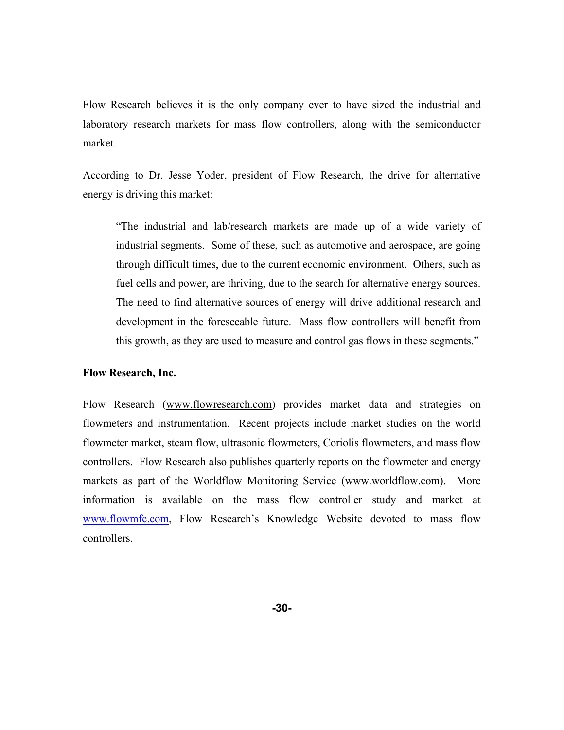Flow Research believes it is the only company ever to have sized the industrial and laboratory research markets for mass flow controllers, along with the semiconductor market.

According to Dr. Jesse Yoder, president of Flow Research, the drive for alternative energy is driving this market:

"The industrial and lab/research markets are made up of a wide variety of industrial segments. Some of these, such as automotive and aerospace, are going through difficult times, due to the current economic environment. Others, such as fuel cells and power, are thriving, due to the search for alternative energy sources. The need to find alternative sources of energy will drive additional research and development in the foreseeable future. Mass flow controllers will benefit from this growth, as they are used to measure and control gas flows in these segments."

## **Flow Research, Inc.**

Flow Research (www.flowresearch.com) provides market data and strategies on flowmeters and instrumentation. Recent projects include market studies on the world flowmeter market, steam flow, ultrasonic flowmeters, Coriolis flowmeters, and mass flow controllers. Flow Research also publishes quarterly reports on the flowmeter and energy markets as part of the Worldflow Monitoring Service (www.worldflow.com). More information is available on the mass flow controller study and market at www.flowmfc.com, Flow Research's Knowledge Website devoted to mass flow controllers.

**-30-**